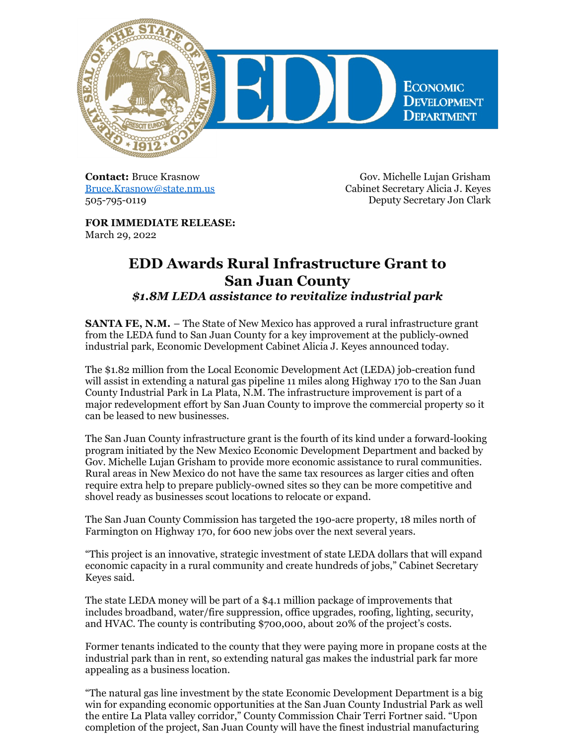

**Contact:** Bruce Krasnow [Bruce.Krasnow@state.nm.us](mailto:Bruce.Krasnow@state.nm.us) 505-795-0119

Gov. Michelle Lujan Grisham Cabinet Secretary Alicia J. Keyes Deputy Secretary Jon Clark

**FOR IMMEDIATE RELEASE:** March 29, 2022

## **EDD Awards Rural Infrastructure Grant to San Juan County**

*\$1.8M LEDA assistance to revitalize industrial park*

**SANTA FE, N.M.** – The State of New Mexico has approved a rural infrastructure grant from the LEDA fund to San Juan County for a key improvement at the publicly-owned industrial park, Economic Development Cabinet Alicia J. Keyes announced today.

The \$1.82 million from the Local Economic Development Act (LEDA) job-creation fund will assist in extending a natural gas pipeline 11 miles along Highway 170 to the San Juan County Industrial Park in La Plata, N.M. The infrastructure improvement is part of a major redevelopment effort by San Juan County to improve the commercial property so it can be leased to new businesses.

The San Juan County infrastructure grant is the fourth of its kind under a forward-looking program initiated by the New Mexico Economic Development Department and backed by Gov. Michelle Lujan Grisham to provide more economic assistance to rural communities. Rural areas in New Mexico do not have the same tax resources as larger cities and often require extra help to prepare publicly-owned sites so they can be more competitive and shovel ready as businesses scout locations to relocate or expand.

The San Juan County Commission has targeted the 190-acre property, 18 miles north of Farmington on Highway 170, for 600 new jobs over the next several years.

"This project is an innovative, strategic investment of state LEDA dollars that will expand economic capacity in a rural community and create hundreds of jobs," Cabinet Secretary Keyes said.

The state LEDA money will be part of a \$4.1 million package of improvements that includes broadband, water/fire suppression, office upgrades, roofing, lighting, security, and HVAC. The county is contributing \$700,000, about 20% of the project's costs.

Former tenants indicated to the county that they were paying more in propane costs at the industrial park than in rent, so extending natural gas makes the industrial park far more appealing as a business location.

"The natural gas line investment by the state Economic Development Department is a big win for expanding economic opportunities at the San Juan County Industrial Park as well the entire La Plata valley corridor," County Commission Chair Terri Fortner said. "Upon completion of the project, San Juan County will have the finest industrial manufacturing